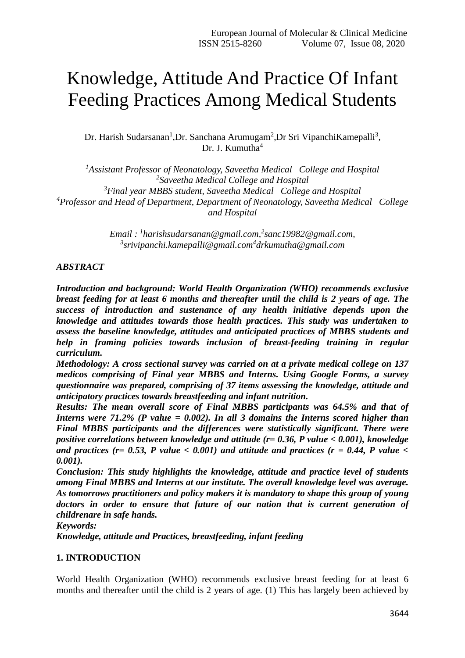# Knowledge, Attitude And Practice Of Infant Feeding Practices Among Medical Students

Dr. Harish Sudarsanan<sup>1</sup>, Dr. Sanchana Arumugam<sup>2</sup>, Dr Sri Vipanchi Kamepalli<sup>3</sup>, Dr. J. Kumutha<sup>4</sup>

*Assistant Professor of Neonatology, Saveetha Medical College and Hospital Saveetha Medical College and Hospital Final year MBBS student, Saveetha Medical College and Hospital Professor and Head of Department, Department of Neonatology, Saveetha Medical College and Hospital*

> *Email : <sup>1</sup> harishsudarsanan@gmail.com,<sup>2</sup> [sanc19982@gmail.com,](mailto:sanc19982@gmail.com) 3 srivipanchi.kamepalli@gmail.com<sup>4</sup> drkumutha@gmail.com*

# *ABSTRACT*

*Introduction and background: World Health Organization (WHO) recommends exclusive breast feeding for at least 6 months and thereafter until the child is 2 years of age. The success of introduction and sustenance of any health initiative depends upon the knowledge and attitudes towards those health practices. This study was undertaken to assess the baseline knowledge, attitudes and anticipated practices of MBBS students and help in framing policies towards inclusion of breast-feeding training in regular curriculum.* 

*Methodology: A cross sectional survey was carried on at a private medical college on 137 medicos comprising of Final year MBBS and Interns. Using Google Forms, a survey questionnaire was prepared, comprising of 37 items assessing the knowledge, attitude and anticipatory practices towards breastfeeding and infant nutrition.* 

*Results: The mean overall score of Final MBBS participants was 64.5% and that of Interns were 71.2% (P value = 0.002). In all 3 domains the Interns scored higher than Final MBBS participants and the differences were statistically significant. There were positive correlations between knowledge and attitude (r= 0.36, P value < 0.001), knowledge*  and practices ( $r= 0.53$ , P value  $< 0.001$ ) and attitude and practices ( $r = 0.44$ , P value  $<$ *0.001).* 

*Conclusion: This study highlights the knowledge, attitude and practice level of students among Final MBBS and Interns at our institute. The overall knowledge level was average. As tomorrows practitioners and policy makers it is mandatory to shape this group of young doctors in order to ensure that future of our nation that is current generation of childrenare in safe hands.* 

*Keywords:*

*Knowledge, attitude and Practices, breastfeeding, infant feeding*

## **1. INTRODUCTION**

World Health Organization (WHO) recommends exclusive breast feeding for at least 6 months and thereafter until the child is 2 years of age. (1) This has largely been achieved by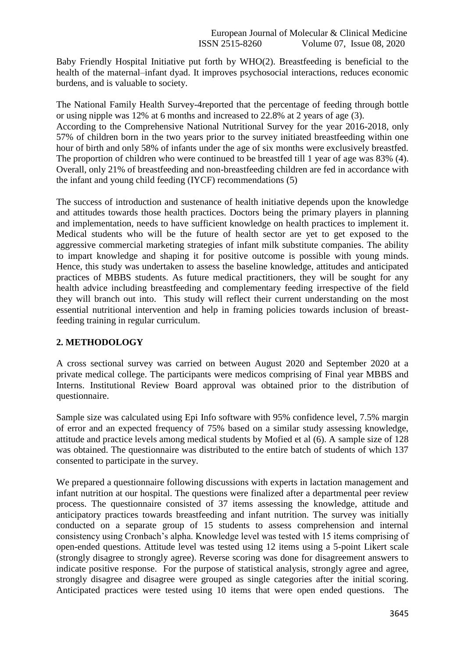Baby Friendly Hospital Initiative put forth by WHO(2). Breastfeeding is beneficial to the health of the maternal–infant dyad. It improves psychosocial interactions, reduces economic burdens, and is valuable to society.

The National Family Health Survey-4reported that the percentage of feeding through bottle or using nipple was 12% at 6 months and increased to 22.8% at 2 years of age (3). According to the Comprehensive National Nutritional Survey for the year 2016-2018, only

57% of children born in the two years prior to the survey initiated breastfeeding within one hour of birth and only 58% of infants under the age of six months were exclusively breastfed. The proportion of children who were continued to be breastfed till 1 year of age was 83% (4). Overall, only 21% of breastfeeding and non-breastfeeding children are fed in accordance with the infant and young child feeding (IYCF) recommendations (5)

The success of introduction and sustenance of health initiative depends upon the knowledge and attitudes towards those health practices. Doctors being the primary players in planning and implementation, needs to have sufficient knowledge on health practices to implement it. Medical students who will be the future of health sector are yet to get exposed to the aggressive commercial marketing strategies of infant milk substitute companies. The ability to impart knowledge and shaping it for positive outcome is possible with young minds. Hence, this study was undertaken to assess the baseline knowledge, attitudes and anticipated practices of MBBS students. As future medical practitioners, they will be sought for any health advice including breastfeeding and complementary feeding irrespective of the field they will branch out into. This study will reflect their current understanding on the most essential nutritional intervention and help in framing policies towards inclusion of breastfeeding training in regular curriculum.

# **2. METHODOLOGY**

A cross sectional survey was carried on between August 2020 and September 2020 at a private medical college. The participants were medicos comprising of Final year MBBS and Interns. Institutional Review Board approval was obtained prior to the distribution of questionnaire.

Sample size was calculated using Epi Info software with 95% confidence level, 7.5% margin of error and an expected frequency of 75% based on a similar study assessing knowledge, attitude and practice levels among medical students by Mofied et al (6). A sample size of 128 was obtained. The questionnaire was distributed to the entire batch of students of which 137 consented to participate in the survey.

We prepared a questionnaire following discussions with experts in lactation management and infant nutrition at our hospital. The questions were finalized after a departmental peer review process. The questionnaire consisted of 37 items assessing the knowledge, attitude and anticipatory practices towards breastfeeding and infant nutrition. The survey was initially conducted on a separate group of 15 students to assess comprehension and internal consistency using Cronbach's alpha. Knowledge level was tested with 15 items comprising of open-ended questions. Attitude level was tested using 12 items using a 5-point Likert scale (strongly disagree to strongly agree). Reverse scoring was done for disagreement answers to indicate positive response. For the purpose of statistical analysis, strongly agree and agree, strongly disagree and disagree were grouped as single categories after the initial scoring. Anticipated practices were tested using 10 items that were open ended questions. The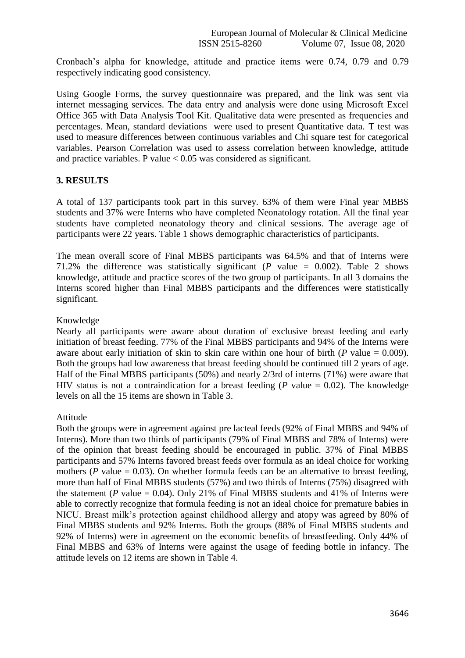Cronbach's alpha for knowledge, attitude and practice items were 0.74, 0.79 and 0.79 respectively indicating good consistency.

Using Google Forms, the survey questionnaire was prepared, and the link was sent via internet messaging services. The data entry and analysis were done using Microsoft Excel Office 365 with Data Analysis Tool Kit. Qualitative data were presented as frequencies and percentages. Mean, standard deviations were used to present Quantitative data. T test was used to measure differences between continuous variables and Chi square test for categorical variables. Pearson Correlation was used to assess correlation between knowledge, attitude and practice variables. P value  $< 0.05$  was considered as significant.

## **3. RESULTS**

A total of 137 participants took part in this survey. 63% of them were Final year MBBS students and 37% were Interns who have completed Neonatology rotation. All the final year students have completed neonatology theory and clinical sessions. The average age of participants were 22 years. Table 1 shows demographic characteristics of participants.

The mean overall score of Final MBBS participants was 64.5% and that of Interns were 71.2% the difference was statistically significant (*P* value = 0.002). Table 2 shows knowledge, attitude and practice scores of the two group of participants. In all 3 domains the Interns scored higher than Final MBBS participants and the differences were statistically significant.

## Knowledge

Nearly all participants were aware about duration of exclusive breast feeding and early initiation of breast feeding. 77% of the Final MBBS participants and 94% of the Interns were aware about early initiation of skin to skin care within one hour of birth ( $P$  value = 0.009). Both the groups had low awareness that breast feeding should be continued till 2 years of age. Half of the Final MBBS participants (50%) and nearly 2/3rd of interns (71%) were aware that HIV status is not a contraindication for a breast feeding ( $P$  value = 0.02). The knowledge levels on all the 15 items are shown in Table 3.

## Attitude

Both the groups were in agreement against pre lacteal feeds (92% of Final MBBS and 94% of Interns). More than two thirds of participants (79% of Final MBBS and 78% of Interns) were of the opinion that breast feeding should be encouraged in public. 37% of Final MBBS participants and 57% Interns favored breast feeds over formula as an ideal choice for working mothers ( $P$  value  $= 0.03$ ). On whether formula feeds can be an alternative to breast feeding, more than half of Final MBBS students (57%) and two thirds of Interns (75%) disagreed with the statement (*P* value = 0.04). Only 21% of Final MBBS students and 41% of Interns were able to correctly recognize that formula feeding is not an ideal choice for premature babies in NICU. Breast milk's protection against childhood allergy and atopy was agreed by 80% of Final MBBS students and 92% Interns. Both the groups (88% of Final MBBS students and 92% of Interns) were in agreement on the economic benefits of breastfeeding. Only 44% of Final MBBS and 63% of Interns were against the usage of feeding bottle in infancy. The attitude levels on 12 items are shown in Table 4.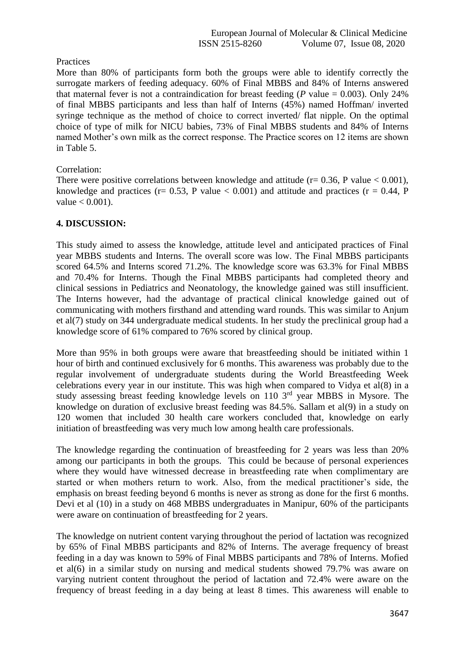# **Practices**

More than 80% of participants form both the groups were able to identify correctly the surrogate markers of feeding adequacy. 60% of Final MBBS and 84% of Interns answered that maternal fever is not a contraindication for breast feeding ( $P$  value = 0.003). Only 24% of final MBBS participants and less than half of Interns (45%) named Hoffman/ inverted syringe technique as the method of choice to correct inverted/ flat nipple. On the optimal choice of type of milk for NICU babies, 73% of Final MBBS students and 84% of Interns named Mother's own milk as the correct response. The Practice scores on 12 items are shown in Table 5.

# Correlation:

There were positive correlations between knowledge and attitude ( $r = 0.36$ , P value  $< 0.001$ ), knowledge and practices ( $r = 0.53$ , P value  $< 0.001$ ) and attitude and practices ( $r = 0.44$ , P value  $< 0.001$ ).

# **4. DISCUSSION:**

This study aimed to assess the knowledge, attitude level and anticipated practices of Final year MBBS students and Interns. The overall score was low. The Final MBBS participants scored 64.5% and Interns scored 71.2%. The knowledge score was 63.3% for Final MBBS and 70.4% for Interns. Though the Final MBBS participants had completed theory and clinical sessions in Pediatrics and Neonatology, the knowledge gained was still insufficient. The Interns however, had the advantage of practical clinical knowledge gained out of communicating with mothers firsthand and attending ward rounds. This was similar to Anjum et al(7) study on 344 undergraduate medical students. In her study the preclinical group had a knowledge score of 61% compared to 76% scored by clinical group.

More than 95% in both groups were aware that breastfeeding should be initiated within 1 hour of birth and continued exclusively for 6 months. This awareness was probably due to the regular involvement of undergraduate students during the World Breastfeeding Week celebrations every year in our institute. This was high when compared to Vidya et al(8) in a study assessing breast feeding knowledge levels on 110 3rd year MBBS in Mysore. The knowledge on duration of exclusive breast feeding was 84.5%. Sallam et al(9) in a study on 120 women that included 30 health care workers concluded that, knowledge on early initiation of breastfeeding was very much low among health care professionals.

The knowledge regarding the continuation of breastfeeding for 2 years was less than 20% among our participants in both the groups. This could be because of personal experiences where they would have witnessed decrease in breastfeeding rate when complimentary are started or when mothers return to work. Also, from the medical practitioner's side, the emphasis on breast feeding beyond 6 months is never as strong as done for the first 6 months. Devi et al (10) in a study on 468 MBBS undergraduates in Manipur, 60% of the participants were aware on continuation of breastfeeding for 2 years.

The knowledge on nutrient content varying throughout the period of lactation was recognized by 65% of Final MBBS participants and 82% of Interns. The average frequency of breast feeding in a day was known to 59% of Final MBBS participants and 78% of Interns. Mofied et al(6) in a similar study on nursing and medical students showed 79.7% was aware on varying nutrient content throughout the period of lactation and 72.4% were aware on the frequency of breast feeding in a day being at least 8 times. This awareness will enable to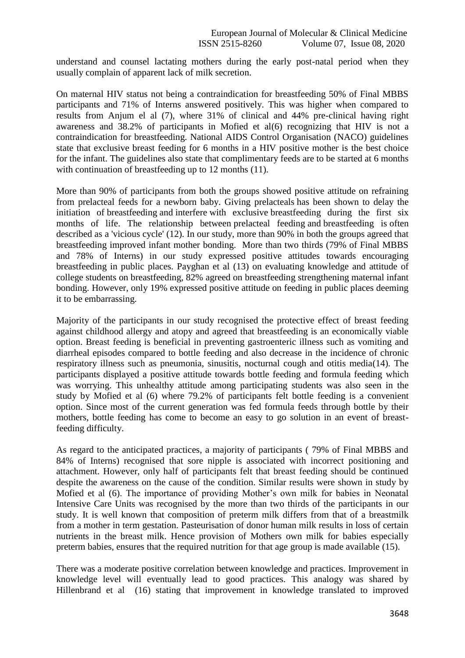understand and counsel lactating mothers during the early post-natal period when they usually complain of apparent lack of milk secretion.

On maternal HIV status not being a contraindication for breastfeeding 50% of Final MBBS participants and 71% of Interns answered positively. This was higher when compared to results from Anjum el al (7), where 31% of clinical and 44% pre-clinical having right awareness and 38.2% of participants in Mofied et al(6) recognizing that HIV is not a contraindication for breastfeeding. National AIDS Control Organisation (NACO) guidelines state that exclusive breast feeding for 6 months in a HIV positive mother is the best choice for the infant. The guidelines also state that complimentary feeds are to be started at 6 months with continuation of breastfeeding up to 12 months (11).

More than 90% of participants from both the groups showed positive attitude on refraining from prelacteal feeds for a newborn baby. Giving prelacteals has been shown to delay the initiation of breastfeeding and interfere with exclusive breastfeeding during the first six months of life. The relationship between prelacteal feeding and breastfeeding is often described as a 'vicious cycle' (12). In our study, more than 90% in both the groups agreed that breastfeeding improved infant mother bonding. More than two thirds (79% of Final MBBS and 78% of Interns) in our study expressed positive attitudes towards encouraging breastfeeding in public places. Payghan et al (13) on evaluating knowledge and attitude of college students on breastfeeding, 82% agreed on breastfeeding strengthening maternal infant bonding. However, only 19% expressed positive attitude on feeding in public places deeming it to be embarrassing.

Majority of the participants in our study recognised the protective effect of breast feeding against childhood allergy and atopy and agreed that breastfeeding is an economically viable option. Breast feeding is beneficial in preventing gastroenteric illness such as vomiting and diarrheal episodes compared to bottle feeding and also decrease in the incidence of chronic respiratory illness such as pneumonia, sinusitis, nocturnal cough and otitis media(14). The participants displayed a positive attitude towards bottle feeding and formula feeding which was worrying. This unhealthy attitude among participating students was also seen in the study by Mofied et al (6) where 79.2% of participants felt bottle feeding is a convenient option. Since most of the current generation was fed formula feeds through bottle by their mothers, bottle feeding has come to become an easy to go solution in an event of breastfeeding difficulty.

As regard to the anticipated practices, a majority of participants ( 79% of Final MBBS and 84% of Interns) recognised that sore nipple is associated with incorrect positioning and attachment. However, only half of participants felt that breast feeding should be continued despite the awareness on the cause of the condition. Similar results were shown in study by Mofied et al (6). The importance of providing Mother's own milk for babies in Neonatal Intensive Care Units was recognised by the more than two thirds of the participants in our study. It is well known that composition of preterm milk differs from that of a breastmilk from a mother in term gestation. Pasteurisation of donor human milk results in loss of certain nutrients in the breast milk. Hence provision of Mothers own milk for babies especially preterm babies, ensures that the required nutrition for that age group is made available (15).

There was a moderate positive correlation between knowledge and practices. Improvement in knowledge level will eventually lead to good practices. This analogy was shared by Hillenbrand et al (16) stating that improvement in knowledge translated to improved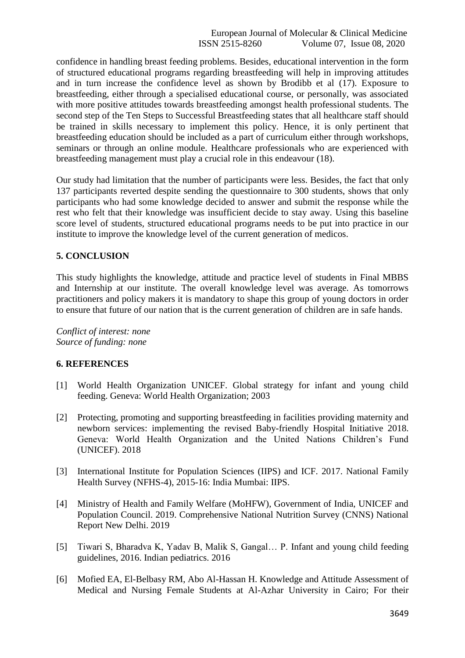confidence in handling breast feeding problems. Besides, educational intervention in the form of structured educational programs regarding breastfeeding will help in improving attitudes and in turn increase the confidence level as shown by Brodibb et al (17). Exposure to breastfeeding, either through a specialised educational course, or personally, was associated with more positive attitudes towards breastfeeding amongst health professional students. The second step of the Ten Steps to Successful Breastfeeding states that all healthcare staff should be trained in skills necessary to implement this policy. Hence, it is only pertinent that breastfeeding education should be included as a part of curriculum either through workshops, seminars or through an online module. Healthcare professionals who are experienced with breastfeeding management must play a crucial role in this endeavour (18).

Our study had limitation that the number of participants were less. Besides, the fact that only 137 participants reverted despite sending the questionnaire to 300 students, shows that only participants who had some knowledge decided to answer and submit the response while the rest who felt that their knowledge was insufficient decide to stay away. Using this baseline score level of students, structured educational programs needs to be put into practice in our institute to improve the knowledge level of the current generation of medicos.

## **5. CONCLUSION**

This study highlights the knowledge, attitude and practice level of students in Final MBBS and Internship at our institute. The overall knowledge level was average. As tomorrows practitioners and policy makers it is mandatory to shape this group of young doctors in order to ensure that future of our nation that is the current generation of children are in safe hands.

*Conflict of interest: none Source of funding: none*

## **6. REFERENCES**

- [1] World Health Organization UNICEF. Global strategy for infant and young child feeding. Geneva: World Health Organization; 2003
- [2] Protecting, promoting and supporting breastfeeding in facilities providing maternity and newborn services: implementing the revised Baby-friendly Hospital Initiative 2018. Geneva: World Health Organization and the United Nations Children's Fund (UNICEF). 2018
- [3] International Institute for Population Sciences (IIPS) and ICF. 2017. National Family Health Survey (NFHS-4), 2015-16: India Mumbai: IIPS.
- [4] Ministry of Health and Family Welfare (MoHFW), Government of India, UNICEF and Population Council. 2019. Comprehensive National Nutrition Survey (CNNS) National Report New Delhi. 2019
- [5] Tiwari S, Bharadva K, Yadav B, Malik S, Gangal… P. Infant and young child feeding guidelines, 2016. Indian pediatrics. 2016
- [6] Mofied EA, El-Belbasy RM, Abo Al-Hassan H. Knowledge and Attitude Assessment of Medical and Nursing Female Students at Al-Azhar University in Cairo; For their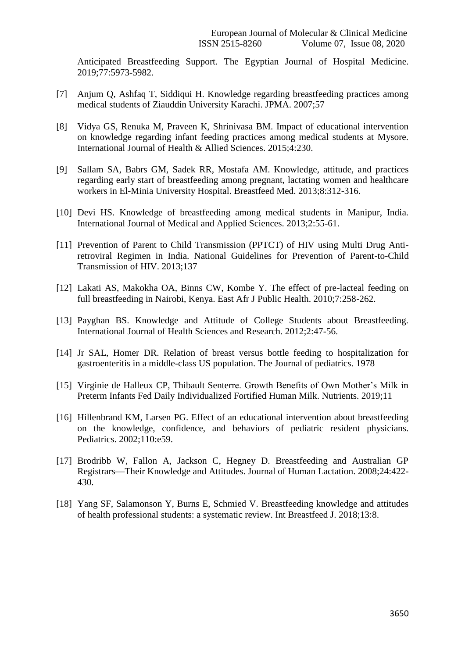Anticipated Breastfeeding Support. The Egyptian Journal of Hospital Medicine. 2019;77:5973-5982.

- [7] Anjum Q, Ashfaq T, Siddiqui H. Knowledge regarding breastfeeding practices among medical students of Ziauddin University Karachi. JPMA. 2007;57
- [8] Vidya GS, Renuka M, Praveen K, Shrinivasa BM. Impact of educational intervention on knowledge regarding infant feeding practices among medical students at Mysore. International Journal of Health & Allied Sciences. 2015;4:230.
- [9] Sallam SA, Babrs GM, Sadek RR, Mostafa AM. Knowledge, attitude, and practices regarding early start of breastfeeding among pregnant, lactating women and healthcare workers in El-Minia University Hospital. Breastfeed Med. 2013;8:312-316.
- [10] Devi HS. Knowledge of breastfeeding among medical students in Manipur, India. International Journal of Medical and Applied Sciences. 2013;2:55-61.
- [11] Prevention of Parent to Child Transmission (PPTCT) of HIV using Multi Drug Antiretroviral Regimen in India. National Guidelines for Prevention of Parent-to-Child Transmission of HIV. 2013;137
- [12] Lakati AS, Makokha OA, Binns CW, Kombe Y. The effect of pre-lacteal feeding on full breastfeeding in Nairobi, Kenya. East Afr J Public Health. 2010;7:258-262.
- [13] Payghan BS. Knowledge and Attitude of College Students about Breastfeeding. International Journal of Health Sciences and Research. 2012;2:47-56.
- [14] Jr SAL, Homer DR. Relation of breast versus bottle feeding to hospitalization for gastroenteritis in a middle-class US population. The Journal of pediatrics. 1978
- [15] Virginie de Halleux CP, Thibault Senterre. Growth Benefits of Own Mother's Milk in Preterm Infants Fed Daily Individualized Fortified Human Milk. Nutrients. 2019;11
- [16] Hillenbrand KM, Larsen PG. Effect of an educational intervention about breastfeeding on the knowledge, confidence, and behaviors of pediatric resident physicians. Pediatrics. 2002;110:e59.
- [17] Brodribb W, Fallon A, Jackson C, Hegney D. Breastfeeding and Australian GP Registrars—Their Knowledge and Attitudes. Journal of Human Lactation. 2008;24:422- 430.
- [18] Yang SF, Salamonson Y, Burns E, Schmied V. Breastfeeding knowledge and attitudes of health professional students: a systematic review. Int Breastfeed J. 2018;13:8.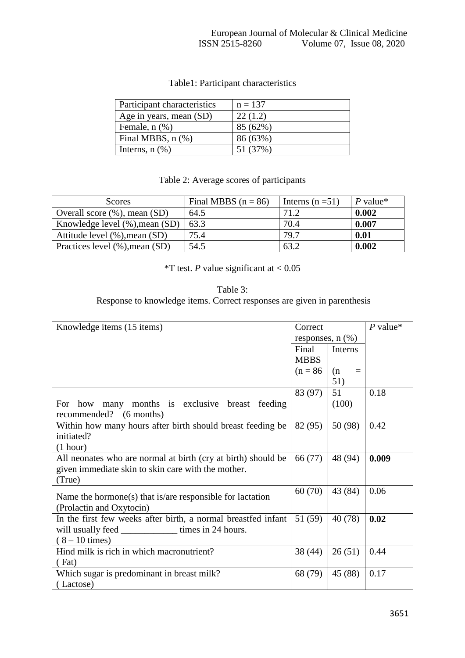| Participant characteristics | $n = 137$ |
|-----------------------------|-----------|
| Age in years, mean (SD)     | 22(1.2)   |
| Female, $n$ $(\%)$          | 85 (62%)  |
| Final MBBS, $n$ $%$         | 86 (63%)  |
| Interns, $n$ $(\%)$         | 51 (37%)  |

# Table1: Participant characteristics

# Table 2: Average scores of participants

| <b>Scores</b>                  | Final MBBS $(n = 86)$ | Interns $(n=51)$ | P value* |
|--------------------------------|-----------------------|------------------|----------|
| Overall score (%), mean (SD)   | 64.5                  | 71.2             | 0.002    |
| Knowledge level (%), mean (SD) | 63.3                  | 70.4             | 0.007    |
| Attitude level (%), mean (SD)  | 75.4                  | 79.7             | 0.01     |
| Practices level (%), mean (SD) | 54.5                  | 63.2             | 0.002    |

\*T test. *P* value significant at  $< 0.05$ 

|                                                                         | Table 3: |  |
|-------------------------------------------------------------------------|----------|--|
| Response to knowledge items. Correct responses are given in parenthesis |          |  |

| Knowledge items (15 items)                                    | Correct               |                 | $P$ value* |
|---------------------------------------------------------------|-----------------------|-----------------|------------|
|                                                               | responses, $n$ $(\%)$ |                 |            |
|                                                               | Final                 | <b>Interns</b>  |            |
|                                                               | <b>MBBS</b>           |                 |            |
|                                                               | $(n = 86)$            | (n)<br>$\equiv$ |            |
|                                                               |                       | 51)             |            |
|                                                               | 83 (97)               | 51              | 0.18       |
| many months is exclusive breast feeding<br>For how            |                       | (100)           |            |
| recommended?<br>$(6$ months)                                  |                       |                 |            |
| Within how many hours after birth should breast feeding be    | 82 (95)               | 50 (98)         | 0.42       |
| initiated?                                                    |                       |                 |            |
| (1 hour)                                                      |                       |                 |            |
| All neonates who are normal at birth (cry at birth) should be | 66 (77)               | 48 (94)         | 0.009      |
| given immediate skin to skin care with the mother.            |                       |                 |            |
| (True)                                                        |                       |                 |            |
| Name the hormone(s) that is/are responsible for lactation     | 60(70)                | 43 (84)         | 0.06       |
| (Prolactin and Oxytocin)                                      |                       |                 |            |
| In the first few weeks after birth, a normal breastfed infant | 51 (59)               | 40 (78)         | 0.02       |
|                                                               |                       |                 |            |
| $(8 - 10 \text{ times})$                                      |                       |                 |            |
| Hind milk is rich in which macronutrient?                     | 38(44)                | 26(51)          | 0.44       |
| (Fat)                                                         |                       |                 |            |
| Which sugar is predominant in breast milk?                    | 68 (79)               | 45 (88)         | 0.17       |
| (Lactose)                                                     |                       |                 |            |
|                                                               |                       |                 |            |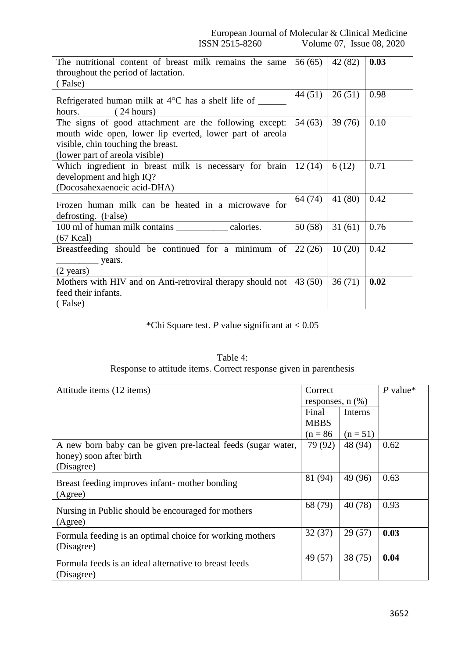| The nutritional content of breast milk remains the same                                                                                                                                    | 56(65)  | 42 (82) | 0.03 |
|--------------------------------------------------------------------------------------------------------------------------------------------------------------------------------------------|---------|---------|------|
| throughout the period of lactation.                                                                                                                                                        |         |         |      |
| (False)                                                                                                                                                                                    |         |         |      |
| Refrigerated human milk at $4^{\circ}$ C has a shelf life of _____<br>(24 hours)<br>hours.                                                                                                 | 44(51)  | 26(51)  | 0.98 |
| The signs of good attachment are the following except:<br>mouth wide open, lower lip everted, lower part of areola<br>visible, chin touching the breast.<br>(lower part of areola visible) | 54(63)  | 39(76)  | 0.10 |
| Which ingredient in breast milk is necessary for brain<br>development and high IQ?<br>(Docosahexaenoeic acid-DHA)                                                                          | 12(14)  | 6(12)   | 0.71 |
| Frozen human milk can be heated in a microwave for<br>defrosting. (False)                                                                                                                  | 64 (74) | 41 (80) | 0.42 |
| 100 ml of human milk contains ______________ calories.<br>$(67$ Kcal $)$                                                                                                                   | 50(58)  | 31(61)  | 0.76 |
| Breastfeeding should be continued for a minimum of<br>$\frac{\ }{\ }$ years.<br>$(2 \text{ years})$                                                                                        | 22(26)  | 10(20)  | 0.42 |
| Mothers with HIV and on Anti-retroviral therapy should not<br>feed their infants.<br>(False)                                                                                               | 43(50)  | 36(71)  | 0.02 |

\*Chi Square test. *P* value significant at < 0.05

| Table 4:                                                          |
|-------------------------------------------------------------------|
| Response to attitude items. Correct response given in parenthesis |

| Correct<br>Attitude items (12 items)                         |             |                       | $P$ value* |
|--------------------------------------------------------------|-------------|-----------------------|------------|
|                                                              |             | responses, $n$ $(\%)$ |            |
|                                                              | Final       | <b>Interns</b>        |            |
|                                                              | <b>MBBS</b> |                       |            |
|                                                              | $(n = 86)$  | $(n = 51)$            |            |
| A new born baby can be given pre-lacteal feeds (sugar water, | 79 (92)     | 48 (94)               | 0.62       |
| honey) soon after birth                                      |             |                       |            |
| (Disagree)                                                   |             |                       |            |
| Breast feeding improves infant-mother bonding                | 81 (94)     | 49 (96)               | 0.63       |
| (Agree)                                                      |             |                       |            |
|                                                              | 68 (79)     | 40(78)                | 0.93       |
| Nursing in Public should be encouraged for mothers           |             |                       |            |
| (Agree)                                                      |             |                       |            |
| Formula feeding is an optimal choice for working mothers     | 32(37)      | 29(57)                | 0.03       |
| (Disagree)                                                   |             |                       |            |
|                                                              | 49 (57)     | 38(75)                | 0.04       |
| Formula feeds is an ideal alternative to breast feeds        |             |                       |            |
| (Disagree)                                                   |             |                       |            |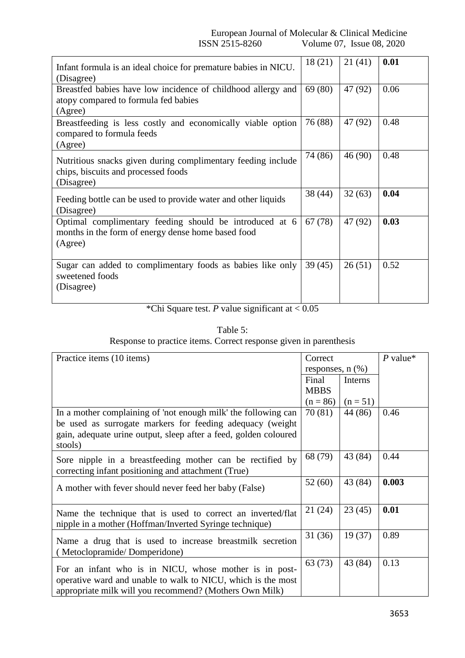European Journal of Molecular & Clinical Medicine<br>ISSN 2515-8260 Volume 07, Issue 08, 2020 Volume 07, Issue 08, 2020

| Infant formula is an ideal choice for premature babies in NICU.<br>(Disagree)                                            | 18(21)  | 21(41)  | 0.01 |
|--------------------------------------------------------------------------------------------------------------------------|---------|---------|------|
| Breastfed babies have low incidence of childhood allergy and<br>atopy compared to formula fed babies<br>(Agree)          | 69 (80) | 47 (92) | 0.06 |
| Breastfeeding is less costly and economically viable option<br>compared to formula feeds<br>(Agree)                      | 76 (88) | 47 (92) | 0.48 |
| Nutritious snacks given during complimentary feeding include<br>chips, biscuits and processed foods<br>(Disagree)        | 74 (86) | 46(90)  | 0.48 |
| Feeding bottle can be used to provide water and other liquids<br>(Disagree)                                              | 38(44)  | 32(63)  | 0.04 |
| Optimal complimentary feeding should be introduced at 6<br>months in the form of energy dense home based food<br>(Agree) | 67 (78) | 47 (92) | 0.03 |
| Sugar can added to complimentary foods as babies like only<br>sweetened foods<br>(Disagree)                              | 39(45)  | 26(51)  | 0.52 |

\*Chi Square test. *P* value significant at < 0.05

Table 5: Response to practice items. Correct response given in parenthesis

| Practice items (10 items)                                                                                                                                                                                  | Correct<br>responses, $n$ $(\%)$ |            | $P$ value* |
|------------------------------------------------------------------------------------------------------------------------------------------------------------------------------------------------------------|----------------------------------|------------|------------|
|                                                                                                                                                                                                            | Final<br><b>MBBS</b>             | Interns    |            |
|                                                                                                                                                                                                            | $(n = 86)$                       | $(n = 51)$ |            |
| In a mother complaining of 'not enough milk' the following can<br>be used as surrogate markers for feeding adequacy (weight<br>gain, adequate urine output, sleep after a feed, golden coloured<br>stools) | 70 $(81)$                        | 44 (86)    | 0.46       |
| Sore nipple in a breastfeeding mother can be rectified by<br>correcting infant positioning and attachment (True)                                                                                           | 68 (79)                          | 43 (84)    | 0.44       |
| A mother with fever should never feed her baby (False)                                                                                                                                                     | 52(60)                           | 43 (84)    | 0.003      |
| Name the technique that is used to correct an inverted/flat<br>nipple in a mother (Hoffman/Inverted Syringe technique)                                                                                     | 21 (24)                          | 23(45)     | 0.01       |
| Name a drug that is used to increase breastmilk secretion<br>(Metoclopramide/Domperidone)                                                                                                                  | 31(36)                           | 19(37)     | 0.89       |
| For an infant who is in NICU, whose mother is in post-<br>operative ward and unable to walk to NICU, which is the most<br>appropriate milk will you recommend? (Mothers Own Milk)                          | 63(73)                           | 43 (84)    | 0.13       |